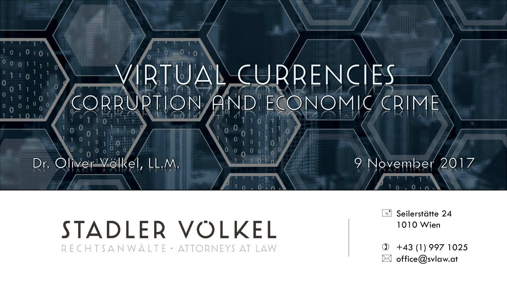### CURRENCIES  $FC$  $\mathsf{R}$

### Dr. Oliver Völkel, LL.M.

### STADLER VOLKEL RECHTSANWÄLTE - ATTORNEYS AT LAW

Seilerstätte 24 1010 Wien

November 2017

9

 $\textcircled{1}$  +43 (1) 997 1025  $\boxtimes$  office@svlaw.at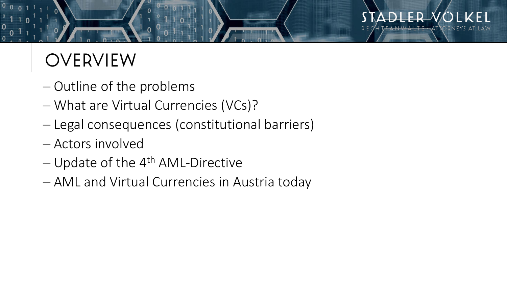## OVERVIEW

- − Outline of the problems
- − What are Virtual Currencies (VCs)?
- − Legal consequences (constitutional barriers)
- − Actors involved
- − Update of the 4<sup>th</sup> AML-Directive
- − AML and Virtual Currencies in Austria today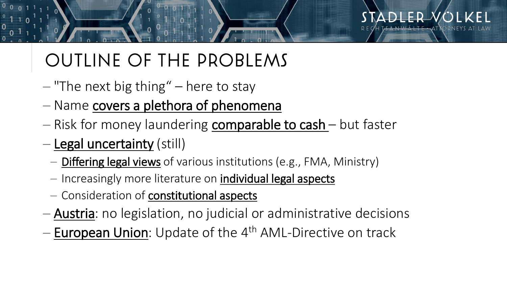## OUTLINE OF THE PROBLEMS

- − "The next big thing" here to stay
- − Name covers a plethora of phenomena
- − Risk for money laundering comparable to cash but faster
- − Legal uncertainty (still)
	- − Differing legal views of various institutions (e.g., FMA, Ministry)
	- − Increasingly more literature on individual legal aspects
	- − Consideration of constitutional aspects
- − Austria: no legislation, no judicial or administrative decisions
- − European Union: Update of the 4<sup>th</sup> AML-Directive on track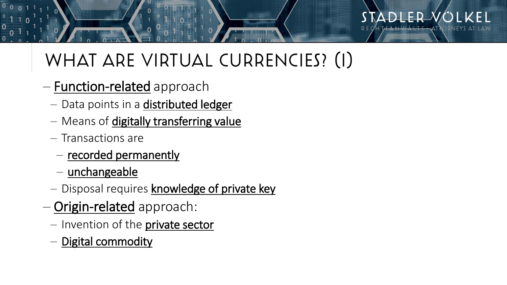## WHAT ARE VIRTUAL CURRENCIES? (I)

- − Function-related approach
	- − Data points in a **distributed ledger**
	- − Means of digitally transferring value
	- − Transactions are
		- − recorded permanently
		- − unchangeable
	- − Disposal requires knowledge of private key
- − Origin-related approach:
	- − Invention of the private sector
	- − Digital commodity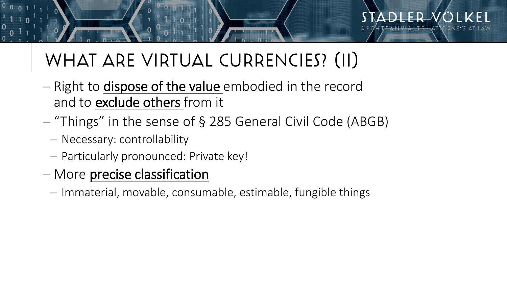# WHAT ARE VIRTUAL CURRENCIES? (II)

- − Right to dispose of the value embodied in the record and to exclude others from it
- − "Things" in the sense of § 285 General Civil Code (ABGB)
	- − Necessary: controllability
	- − Particularly pronounced: Private key!
- − More precise classification
	- − Immaterial, movable, consumable, estimable, fungible things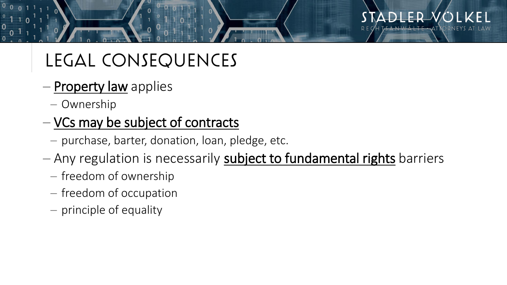## LEGAL CONSEQUENCES

- − Property law applies
	- − Ownership

### − VCs may be subject of contracts

- − purchase, barter, donation, loan, pledge, etc.
- − Any regulation is necessarily subject to fundamental rights barriers
	- − freedom of ownership
	- − freedom of occupation
	- − principle of equality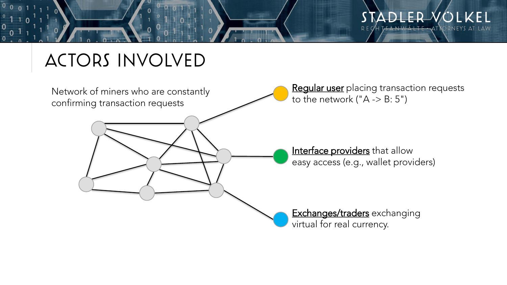

### ACTORS INVOLVED

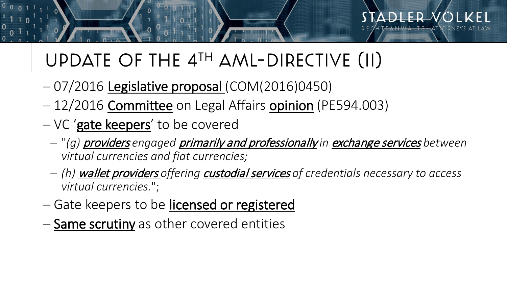## UPDATE OF THE 4TH AML-DIRECTIVE (II)

- − 07/2016 Legislative proposal (COM(2016)0450)
- − 12/2016 Committee on Legal Affairs opinion (PE594.003)
- − VC 'gate keepers' to be covered
	- − "*(g)* providers *engaged* primarily and professionally *in* exchange services *between virtual currencies and fiat currencies;*
	- − *(h)* wallet providers *offering* custodial services *of credentials necessary to access virtual currencies.*";
- − Gate keepers to be licensed or registered
- − Same scrutiny as other covered entities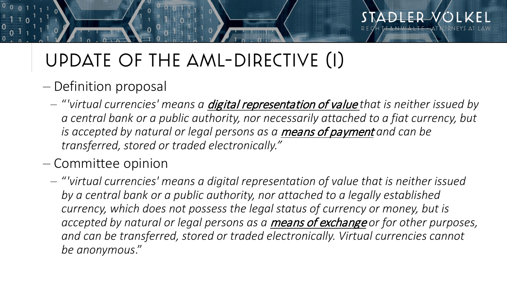# UPDATE OF THE AML-DIRECTIVE (I)

- − Definition proposal
	- − "*'virtual currencies' means a* digital representation of value *that is neither issued by a central bank or a public authority, nor necessarily attached to a fiat currency, but is accepted by natural or legal persons as a means of payment and can be transferred, stored or traded electronically."*
- − Committee opinion
	- − "*'virtual currencies' means a digital representation of value that is neither issued by a central bank or a public authority, nor attached to a legally established currency, which does not possess the legal status of currency or money, but is accepted by natural or legal persons as a* means of exchange *or for other purposes, and can be transferred, stored or traded electronically. Virtual currencies cannot be anonymous*."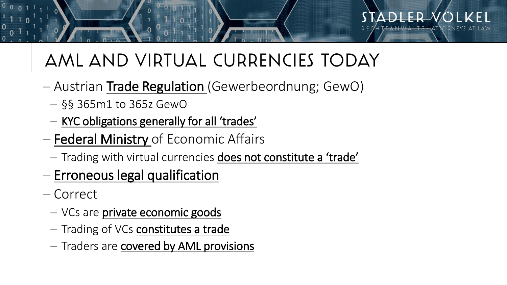## AML AND VIRTUAL CURRENCIES TODAY

- − Austrian Trade Regulation (Gewerbeordnung; GewO)
	- − §§ 365m1 to 365z GewO
	- − KYC obligations generally for all 'trades'
- − Federal Ministry of Economic Affairs
	- − Trading with virtual currencies does not constitute a 'trade'
- − Erroneous legal qualification
- − Correct
	- − VCs are private economic goods
	- − Trading of VCs constitutes a trade
	- − Traders are covered by AML provisions